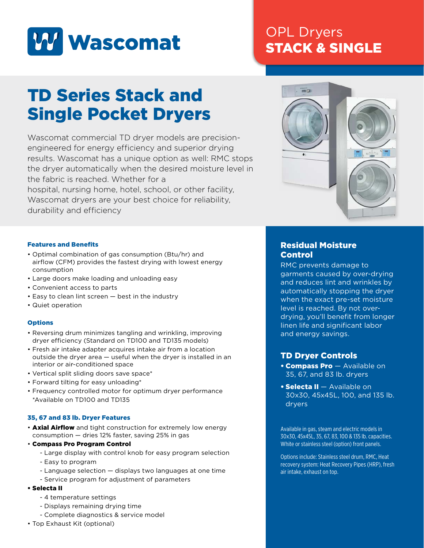

## OPL Dryers STACK & SINGLE

# TD Series Stack and Single Pocket Dryers

Wascomat commercial TD dryer models are precisionengineered for energy efficiency and superior drying results. Wascomat has a unique option as well: RMC stops the dryer automatically when the desired moisture level in the fabric is reached. Whether for a hospital, nursing home, hotel, school, or other facility, Wascomat dryers are your best choice for reliability, durability and efficiency



#### Features and Benefits

- Optimal combination of gas consumption (Btu/hr) and airflow (CFM) provides the fastest drying with lowest energy consumption
- Large doors make loading and unloading easy
- Convenient access to parts
- Easy to clean lint screen best in the industry
- Quiet operation

#### **Options**

- Reversing drum minimizes tangling and wrinkling, improving dryer efficiency (Standard on TD100 and TD135 models)
- Fresh air intake adapter acquires intake air from a location outside the dryer area — useful when the dryer is installed in an interior or air-conditioned space
- Vertical split sliding doors save space\*
- Forward tilting for easy unloading\*
- Frequency controlled motor for optimum dryer performance \*Available on TD100 and TD135

#### 35, 67 and 83 lb. Dryer Features

- **Axial Airflow** and tight construction for extremely low energy consumption — dries 12% faster, saving 25% in gas
- Compass Pro Program Control
	- Large display with control knob for easy program selection
	- Easy to program
	- Language selection displays two languages at one time
	- Service program for adjustment of parameters

#### • Selecta II

- 4 temperature settings
- Displays remaining drying time
- Complete diagnostics & service model
- Top Exhaust Kit (optional)

### Residual Moisture Control

RMC prevents damage to garments caused by over-drying and reduces lint and wrinkles by automatically stopping the dryer when the exact pre-set moisture level is reached. By not overdrying, you'll benefit from longer linen life and significant labor and energy savings.

## TD Dryer Controls

- **Compass Pro** Available on 35, 67, and 83 lb. dryers
- Selecta II Available on 30x30, 45x45L, 100, and 135 lb. dryers

Available in gas, steam and electric models in 30x30, 45x45L, 35, 67, 83, 100 & 135 lb. capacities. White or stainless steel (option) front panels.

Options include: Stainless steel drum, RMC, Heat recovery system: Heat Recovery Pipes (HRP), fresh air intake, exhaust on top.